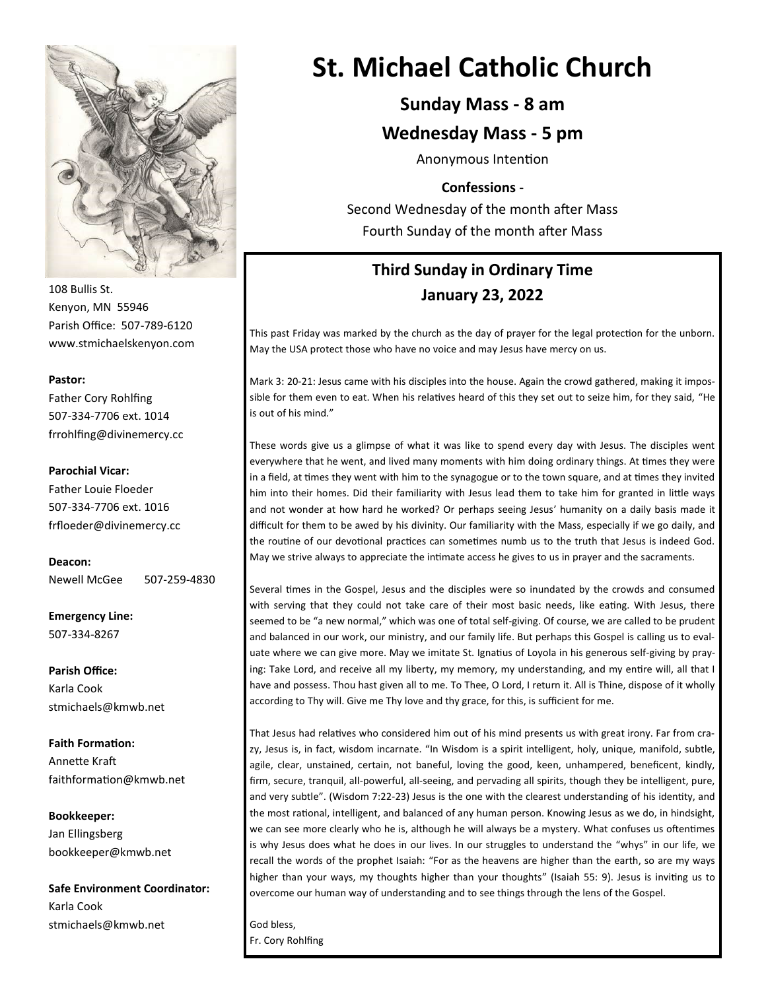

108 Bullis St. Kenyon, MN 55946 Parish Office: 507-789-6120 www.stmichaelskenyon.com

#### **Pastor:**

Father Cory Rohlfing 507-334-7706 ext. 1014 frrohlfing@divinemercy.cc

#### **Parochial Vicar:**

Father Louie Floeder 507-334-7706 ext. 1016 frfloeder@divinemercy.cc

**Deacon:**  Newell McGee 507-259-4830

**Emergency Line:** 507-334-8267

**Parish Office:**  Karla Cook stmichaels@kmwb.net

**Faith Formation:**  Annette Kraft faithformation@kmwb.net

**Bookkeeper:**  Jan Ellingsberg bookkeeper@kmwb.net

**Safe Environment Coordinator:** Karla Cook stmichaels@kmwb.net

# **St. Michael Catholic Church**

## **Sunday Mass - 8 am**

### **Wednesday Mass - 5 pm**

Anonymous Intention

#### **Confessions** -

Second Wednesday of the month after Mass Fourth Sunday of the month after Mass

# **Third Sunday in Ordinary Time January 23, 2022**

This past Friday was marked by the church as the day of prayer for the legal protection for the unborn. May the USA protect those who have no voice and may Jesus have mercy on us.

Mark 3: 20-21: Jesus came with his disciples into the house. Again the crowd gathered, making it impossible for them even to eat. When his relatives heard of this they set out to seize him, for they said, "He is out of his mind."

These words give us a glimpse of what it was like to spend every day with Jesus. The disciples went everywhere that he went, and lived many moments with him doing ordinary things. At times they were in a field, at times they went with him to the synagogue or to the town square, and at times they invited him into their homes. Did their familiarity with Jesus lead them to take him for granted in little ways and not wonder at how hard he worked? Or perhaps seeing Jesus' humanity on a daily basis made it difficult for them to be awed by his divinity. Our familiarity with the Mass, especially if we go daily, and the routine of our devotional practices can sometimes numb us to the truth that Jesus is indeed God. May we strive always to appreciate the intimate access he gives to us in prayer and the sacraments.

Several times in the Gospel, Jesus and the disciples were so inundated by the crowds and consumed with serving that they could not take care of their most basic needs, like eating. With Jesus, there seemed to be "a new normal," which was one of total self-giving. Of course, we are called to be prudent and balanced in our work, our ministry, and our family life. But perhaps this Gospel is calling us to evaluate where we can give more. May we imitate St. Ignatius of Loyola in his generous self-giving by praying: Take Lord, and receive all my liberty, my memory, my understanding, and my entire will, all that I have and possess. Thou hast given all to me. To Thee, O Lord, I return it. All is Thine, dispose of it wholly according to Thy will. Give me Thy love and thy grace, for this, is sufficient for me.

That Jesus had relatives who considered him out of his mind presents us with great irony. Far from crazy, Jesus is, in fact, wisdom incarnate. "In Wisdom is a spirit intelligent, holy, unique, manifold, subtle, agile, clear, unstained, certain, not baneful, loving the good, keen, unhampered, beneficent, kindly, firm, secure, tranquil, all-powerful, all-seeing, and pervading all spirits, though they be intelligent, pure, and very subtle". (Wisdom 7:22-23) Jesus is the one with the clearest understanding of his identity, and the most rational, intelligent, and balanced of any human person. Knowing Jesus as we do, in hindsight, we can see more clearly who he is, although he will always be a mystery. What confuses us oftentimes is why Jesus does what he does in our lives. In our struggles to understand the "whys" in our life, we recall the words of the prophet Isaiah: "For as the heavens are higher than the earth, so are my ways higher than your ways, my thoughts higher than your thoughts" (Isaiah 55: 9). Jesus is inviting us to overcome our human way of understanding and to see things through the lens of the Gospel.

God bless, Fr. Cory Rohlfing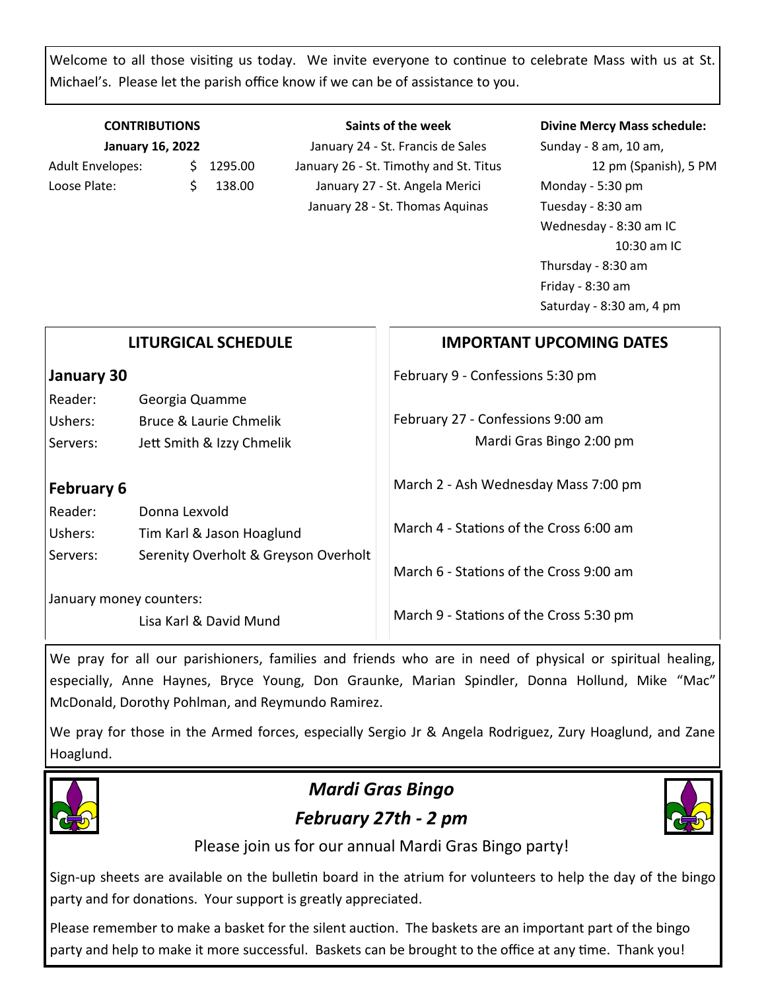Welcome to all those visiting us today. We invite everyone to continue to celebrate Mass with us at St. Michael's. Please let the parish office know if we can be of assistance to you.

**Saints of the week**

### **CONTRIBUTIONS January 16, 2022**

Adult Envelopes:  $\frac{1}{2}$  1295.00 Loose Plate: \$ 138.00

January 24 - St. Francis de Sales January 26 - St. Timothy and St. Titus January 27 - St. Angela Merici January 28 - St. Thomas Aquinas

#### **Divine Mercy Mass schedule:**

Sunday - 8 am, 10 am, 12 pm (Spanish), 5 PM Monday - 5:30 pm Tuesday - 8:30 am Wednesday - 8:30 am IC 10:30 am IC Thursday - 8:30 am Friday - 8:30 am Saturday - 8:30 am, 4 pm

| <b>LITURGICAL SCHEDULE</b> |                                      | <b>IMPORTANT UPCOMING DATES</b>         |
|----------------------------|--------------------------------------|-----------------------------------------|
| January 30                 |                                      | February 9 - Confessions 5:30 pm        |
| Reader:                    | Georgia Quamme                       |                                         |
| Ushers:                    | Bruce & Laurie Chmelik               | February 27 - Confessions 9:00 am       |
| Servers:                   | Jett Smith & Izzy Chmelik            | Mardi Gras Bingo 2:00 pm                |
| <b>February 6</b>          |                                      | March 2 - Ash Wednesday Mass 7:00 pm    |
| Reader:                    | Donna Lexvold                        |                                         |
| Ushers:                    | Tim Karl & Jason Hoaglund            | March 4 - Stations of the Cross 6:00 am |
| Servers:                   | Serenity Overholt & Greyson Overholt | March 6 - Stations of the Cross 9:00 am |
| January money counters:    |                                      |                                         |
|                            | Lisa Karl & David Mund               | March 9 - Stations of the Cross 5:30 pm |

We pray for all our parishioners, families and friends who are in need of physical or spiritual healing, especially, Anne Haynes, Bryce Young, Don Graunke, Marian Spindler, Donna Hollund, Mike "Mac" McDonald, Dorothy Pohlman, and Reymundo Ramirez.

We pray for those in the Armed forces, especially Sergio Jr & Angela Rodriguez, Zury Hoaglund, and Zane Hoaglund.



# *Mardi Gras Bingo February 27th - 2 pm*



Please join us for our annual Mardi Gras Bingo party!

Sign-up sheets are available on the bulletin board in the atrium for volunteers to help the day of the bingo party and for donations. Your support is greatly appreciated.

Please remember to make a basket for the silent auction. The baskets are an important part of the bingo party and help to make it more successful. Baskets can be brought to the office at any time. Thank you!